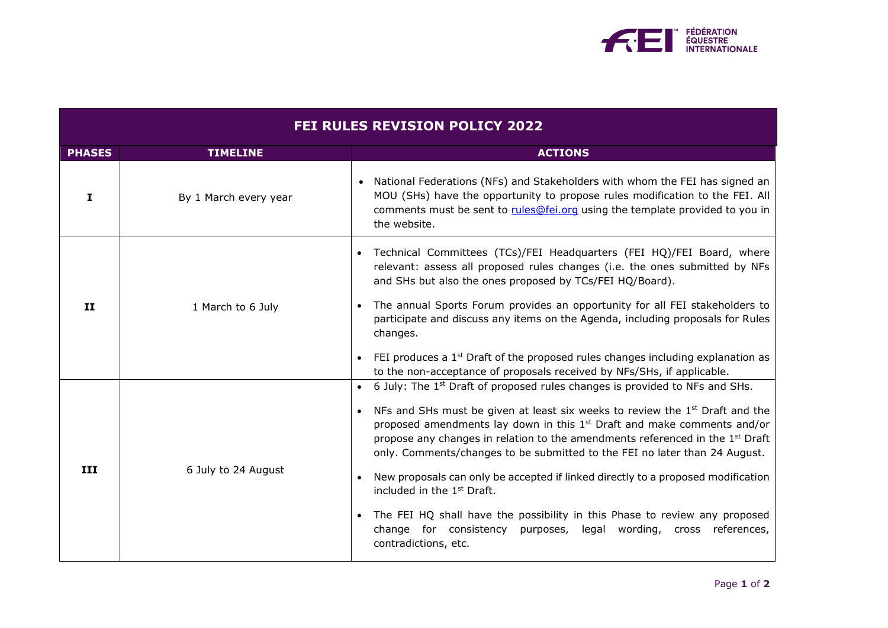

| <b>FEI RULES REVISION POLICY 2022</b> |                       |                                                                                                                                                                                                                                                                                                                                                                                                                                                                                                                                                                                                                                                                                                                                            |  |
|---------------------------------------|-----------------------|--------------------------------------------------------------------------------------------------------------------------------------------------------------------------------------------------------------------------------------------------------------------------------------------------------------------------------------------------------------------------------------------------------------------------------------------------------------------------------------------------------------------------------------------------------------------------------------------------------------------------------------------------------------------------------------------------------------------------------------------|--|
| <b>PHASES</b>                         | <b>TIMELINE</b>       | <b>ACTIONS</b>                                                                                                                                                                                                                                                                                                                                                                                                                                                                                                                                                                                                                                                                                                                             |  |
| I.                                    | By 1 March every year | National Federations (NFs) and Stakeholders with whom the FEI has signed an<br>MOU (SHs) have the opportunity to propose rules modification to the FEI. All<br>comments must be sent to rules@fei.org using the template provided to you in<br>the website.                                                                                                                                                                                                                                                                                                                                                                                                                                                                                |  |
| II                                    | 1 March to 6 July     | Technical Committees (TCs)/FEI Headquarters (FEI HQ)/FEI Board, where<br>relevant: assess all proposed rules changes (i.e. the ones submitted by NFs<br>and SHs but also the ones proposed by TCs/FEI HQ/Board).<br>The annual Sports Forum provides an opportunity for all FEI stakeholders to<br>participate and discuss any items on the Agenda, including proposals for Rules<br>changes.                                                                                                                                                                                                                                                                                                                                              |  |
|                                       |                       | FEI produces a $1st$ Draft of the proposed rules changes including explanation as<br>to the non-acceptance of proposals received by NFs/SHs, if applicable.                                                                                                                                                                                                                                                                                                                                                                                                                                                                                                                                                                                |  |
| III                                   | 6 July to 24 August   | 6 July: The 1 <sup>st</sup> Draft of proposed rules changes is provided to NFs and SHs.<br>NFs and SHs must be given at least six weeks to review the $1st$ Draft and the<br>proposed amendments lay down in this $1st$ Draft and make comments and/or<br>propose any changes in relation to the amendments referenced in the 1 <sup>st</sup> Draft<br>only. Comments/changes to be submitted to the FEI no later than 24 August.<br>New proposals can only be accepted if linked directly to a proposed modification<br>included in the 1 <sup>st</sup> Draft.<br>The FEI HQ shall have the possibility in this Phase to review any proposed<br>change for consistency purposes, legal wording, cross references,<br>contradictions, etc. |  |